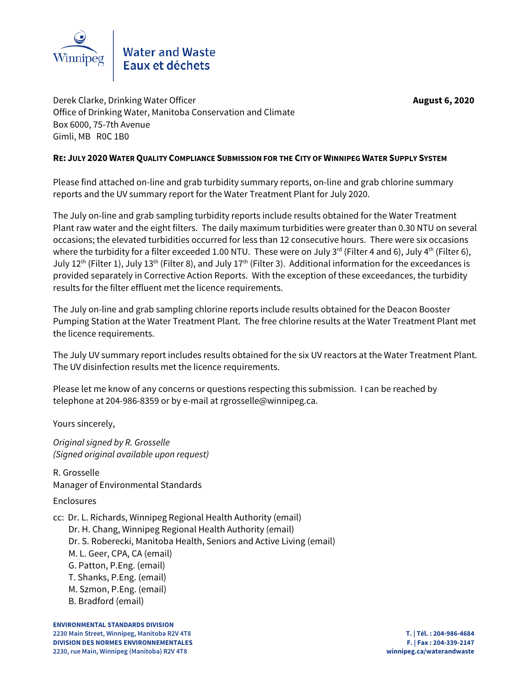

Derek Clarke, Drinking Water Officer **August 6, 2020** Office of Drinking Water, Manitoba Conservation and Climate Box 6000, 75-7th Avenue Gimli, MB R0C 1B0

## **RE: JULY 2020 WATER QUALITY COMPLIANCE SUBMISSION FOR THE CITY OF WINNIPEG WATER SUPPLY SYSTEM**

Please find attached on-line and grab turbidity summary reports, on-line and grab chlorine summary reports and the UV summary report for the Water Treatment Plant for July 2020.

The July on-line and grab sampling turbidity reports include results obtained for the Water Treatment Plant raw water and the eight filters. The daily maximum turbidities were greater than 0.30 NTU on several occasions; the elevated turbidities occurred for less than 12 consecutive hours. There were six occasions where the turbidity for a filter exceeded 1.00 NTU. These were on July 3<sup>rd</sup> (Filter 4 and 6), July 4<sup>th</sup> (Filter 6), July 12<sup>th</sup> (Filter 1), July 13<sup>th</sup> (Filter 8), and July 17<sup>th</sup> (Filter 3). Additional information for the exceedances is provided separately in Corrective Action Reports. With the exception of these exceedances, the turbidity results for the filter effluent met the licence requirements.

The July on-line and grab sampling chlorine reports include results obtained for the Deacon Booster Pumping Station at the Water Treatment Plant. The free chlorine results at the Water Treatment Plant met the licence requirements.

The July UV summary report includes results obtained for the six UV reactors at the Water Treatment Plant. The UV disinfection results met the licence requirements.

Please let me know of any concerns or questions respecting this submission. I can be reached by telephone at 204-986-8359 or by e-mail at rgrosselle@winnipeg.ca.

Yours sincerely,

*Original signed by R. Grosselle (Signed original available upon request)*

R. Grosselle Manager of Environmental Standards

Enclosures

cc: Dr. L. Richards, Winnipeg Regional Health Authority (email)

Dr. H. Chang, Winnipeg Regional Health Authority (email)

Dr. S. Roberecki, Manitoba Health, Seniors and Active Living (email)

- M. L. Geer, CPA, CA (email)
- G. Patton, P.Eng. (email)
- T. Shanks, P.Eng. (email)
- M. Szmon, P.Eng. (email)
- B. Bradford (email)

**ENVIRONMENTAL STANDARDS DIVISION 2230 Main Street, Winnipeg, Manitoba R2V 4T8 T. | Tél. : 204-986-4684 DIVISION DES NORMES ENVIRONNEMENTALES F. | Fax : 204-339-2147 2230, rue Main, Winnipeg (Manitoba) R2V 4T8 winnipeg.ca/waterandwaste**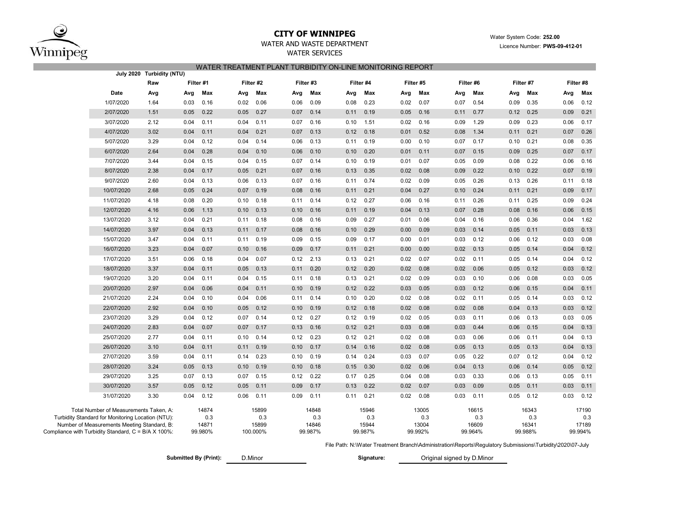

#### **CITY OF WINNIPEG**WATER AND WASTE DEPARTMENT

#### WATER SERVICES WATER TREATMENT PLANT TURBIDITY ON-LINE MONITORING REPORT

|                                                     |                                                                                                                                            | July 2020 Turbidity (NTU) |      |                                  |      |                                   |           |                                  |      |                                  |      |                                  |      |                                  |      |                                  |      |                                  |
|-----------------------------------------------------|--------------------------------------------------------------------------------------------------------------------------------------------|---------------------------|------|----------------------------------|------|-----------------------------------|-----------|----------------------------------|------|----------------------------------|------|----------------------------------|------|----------------------------------|------|----------------------------------|------|----------------------------------|
|                                                     |                                                                                                                                            | Raw                       |      | Filter #1                        |      | Filter #2                         | Filter #3 |                                  |      | Filter #4                        |      | Filter #5                        |      | Filter #6                        |      | Filter #7                        |      | Filter #8                        |
|                                                     | Date                                                                                                                                       | Avg                       | Avg  | Max                              | Avg  | Max                               | Avg       | Max                              | Avg  | Max                              | Avg  | Max                              | Avg  | Max                              | Avg  | Max                              | Avg  | Max                              |
|                                                     | 1/07/2020                                                                                                                                  | 1.64                      | 0.03 | 0.16                             | 0.02 | 0.06                              | 0.06      | 0.09                             | 0.08 | 0.23                             | 0.02 | 0.07                             | 0.07 | 0.54                             | 0.09 | 0.35                             | 0.06 | 0.12                             |
|                                                     | 2/07/2020                                                                                                                                  | 1.51                      | 0.05 | 0.22                             | 0.05 | 0.27                              | 0.07      | 0.14                             | 0.11 | 0.19                             | 0.05 | 0.16                             | 0.11 | 0.77                             | 0.12 | 0.25                             | 0.09 | 0.21                             |
|                                                     | 3/07/2020                                                                                                                                  | 2.12                      | 0.04 | 0.11                             | 0.04 | 0.11                              | 0.07      | 0.16                             | 0.10 | 1.51                             | 0.02 | 0.16                             | 0.09 | 1.29                             | 0.09 | 0.23                             | 0.06 | 0.17                             |
|                                                     | 4/07/2020                                                                                                                                  | 3.02                      | 0.04 | 0.11                             | 0.04 | 0.21                              | 0.07      | 0.13                             | 0.12 | 0.18                             | 0.01 | 0.52                             | 0.08 | 1.34                             | 0.11 | 0.21                             | 0.07 | 0.26                             |
|                                                     | 5/07/2020                                                                                                                                  | 3.29                      | 0.04 | 0.12                             | 0.04 | 0.14                              | 0.06      | 0.13                             | 0.11 | 0.19                             | 0.00 | 0.10                             | 0.07 | 0.17                             | 0.10 | 0.21                             | 0.08 | 0.35                             |
|                                                     | 6/07/2020                                                                                                                                  | 2.64                      | 0.04 | 0.28                             | 0.04 | 0.10                              | 0.06      | 0.10                             | 0.10 | 0.20                             | 0.01 | 0.11                             | 0.07 | 0.15                             | 0.09 | 0.25                             | 0.07 | 0.17                             |
|                                                     | 7/07/2020                                                                                                                                  | 3.44                      | 0.04 | 0.15                             | 0.04 | 0.15                              | 0.07      | 0.14                             | 0.10 | 0.19                             | 0.01 | 0.07                             | 0.05 | 0.09                             | 0.08 | 0.22                             | 0.06 | 0.16                             |
|                                                     | 8/07/2020                                                                                                                                  | 2.38                      | 0.04 | 0.17                             | 0.05 | 0.21                              | 0.07      | 0.16                             | 0.13 | 0.35                             | 0.02 | 0.08                             | 0.09 | 0.22                             | 0.10 | 0.22                             | 0.07 | 0.19                             |
|                                                     | 9/07/2020                                                                                                                                  | 2.60                      | 0.04 | 0.13                             | 0.06 | 0.13                              | 0.07      | 0.16                             | 0.11 | 0.74                             | 0.02 | 0.09                             | 0.05 | 0.26                             | 0.13 | 0.26                             | 0.11 | 0.18                             |
|                                                     | 10/07/2020                                                                                                                                 | 2.68                      | 0.05 | 0.24                             | 0.07 | 0.19                              | 0.08      | 0.16                             | 0.11 | 0.21                             | 0.04 | 0.27                             | 0.10 | 0.24                             | 0.11 | 0.21                             | 0.09 | 0.17                             |
|                                                     | 11/07/2020                                                                                                                                 | 4.18                      | 0.08 | 0.20                             | 0.10 | 0.18                              | 0.11      | 0.14                             | 0.12 | 0.27                             | 0.06 | 0.16                             | 0.11 | 0.26                             | 0.11 | 0.25                             | 0.09 | 0.24                             |
|                                                     | 12/07/2020                                                                                                                                 | 4.16                      | 0.06 | 1.13                             | 0.10 | 0.13                              | 0.10      | 0.16                             | 0.11 | 0.19                             | 0.04 | 0.13                             | 0.07 | 0.28                             | 0.08 | 0.16                             | 0.06 | 0.15                             |
|                                                     | 13/07/2020                                                                                                                                 | 3.12                      | 0.04 | 0.21                             | 0.11 | 0.18                              | 0.08      | 0.16                             | 0.09 | 0.27                             | 0.01 | 0.06                             | 0.04 | 0.16                             | 0.06 | 0.36                             | 0.04 | 1.62                             |
|                                                     | 14/07/2020                                                                                                                                 | 3.97                      | 0.04 | 0.13                             | 0.11 | 0.17                              | 0.08      | 0.16                             | 0.10 | 0.29                             | 0.00 | 0.09                             | 0.03 | 0.14                             | 0.05 | 0.11                             | 0.03 | 0.13                             |
|                                                     | 15/07/2020                                                                                                                                 | 3.47                      | 0.04 | 0.11                             | 0.11 | 0.19                              | 0.09      | 0.15                             | 0.09 | 0.17                             | 0.00 | 0.01                             | 0.03 | 0.12                             | 0.06 | 0.12                             | 0.03 | 0.08                             |
|                                                     | 16/07/2020                                                                                                                                 | 3.23                      | 0.04 | 0.07                             | 0.10 | 0.16                              | 0.09      | 0.17                             | 0.11 | 0.21                             | 0.00 | 0.00                             | 0.02 | 0.13                             | 0.05 | 0.14                             | 0.04 | 0.12                             |
|                                                     | 17/07/2020                                                                                                                                 | 3.51                      | 0.06 | 0.18                             | 0.04 | 0.07                              | 0.12      | 2.13                             | 0.13 | 0.21                             | 0.02 | 0.07                             | 0.02 | 0.11                             | 0.05 | 0.14                             | 0.04 | 0.12                             |
|                                                     | 18/07/2020                                                                                                                                 | 3.37                      | 0.04 | 0.11                             | 0.05 | 0.13                              | 0.11      | 0.20                             | 0.12 | 0.20                             | 0.02 | 0.08                             | 0.02 | 0.06                             | 0.05 | 0.12                             | 0.03 | 0.12                             |
|                                                     | 19/07/2020                                                                                                                                 | 3.20                      | 0.04 | 0.11                             | 0.04 | 0.15                              | 0.11      | 0.18                             | 0.13 | 0.21                             | 0.02 | 0.09                             | 0.03 | 0.10                             | 0.06 | 0.08                             | 0.03 | 0.05                             |
|                                                     | 20/07/2020                                                                                                                                 | 2.97                      | 0.04 | 0.06                             | 0.04 | 0.11                              | 0.10      | 0.19                             | 0.12 | 0.22                             | 0.03 | 0.05                             | 0.03 | 0.12                             | 0.06 | 0.15                             | 0.04 | 0.11                             |
|                                                     | 21/07/2020                                                                                                                                 | 2.24                      | 0.04 | 0.10                             | 0.04 | 0.06                              | 0.11      | 0.14                             | 0.10 | 0.20                             | 0.02 | 0.08                             | 0.02 | 0.11                             | 0.05 | 0.14                             | 0.03 | 0.12                             |
|                                                     | 22/07/2020                                                                                                                                 | 2.92                      | 0.04 | 0.10                             | 0.05 | 0.12                              | 0.10      | 0.19                             | 0.12 | 0.18                             | 0.02 | 0.08                             | 0.02 | 0.08                             | 0.04 | 0.13                             | 0.03 | 0.12                             |
|                                                     | 23/07/2020                                                                                                                                 | 3.29                      | 0.04 | 0.12                             | 0.07 | 0.14                              | 0.12      | 0.27                             | 0.12 | 0.19                             | 0.02 | 0.05                             | 0.03 | 0.11                             | 0.06 | 0.13                             | 0.03 | 0.05                             |
|                                                     | 24/07/2020                                                                                                                                 | 2.83                      | 0.04 | 0.07                             | 0.07 | 0.17                              | 0.13      | 0.16                             | 0.12 | 0.21                             | 0.03 | 0.08                             | 0.03 | 0.44                             | 0.06 | 0.15                             | 0.04 | 0.13                             |
|                                                     | 25/07/2020                                                                                                                                 | 2.77                      | 0.04 | 0.11                             | 0.10 | 0.14                              | 0.12      | 0.23                             | 0.12 | 0.21                             | 0.02 | 0.08                             | 0.03 | 0.06                             | 0.06 | 0.11                             | 0.04 | 0.13                             |
|                                                     | 26/07/2020                                                                                                                                 | 3.10                      | 0.04 | 0.11                             | 0.11 | 0.19                              | 0.10      | 0.17                             | 0.14 | 0.16                             | 0.02 | 0.08                             | 0.05 | 0.13                             | 0.05 | 0.13                             | 0.04 | 0.13                             |
|                                                     | 27/07/2020                                                                                                                                 | 3.59                      | 0.04 | 0.11                             | 0.14 | 0.23                              | 0.10      | 0.19                             | 0.14 | 0.24                             | 0.03 | 0.07                             | 0.05 | 0.22                             | 0.07 | 0.12                             | 0.04 | 0.12                             |
|                                                     | 28/07/2020                                                                                                                                 | 3.24                      | 0.05 | 0.13                             | 0.10 | 0.19                              | 0.10      | 0.18                             | 0.15 | 0.30                             | 0.02 | 0.06                             | 0.04 | 0.13                             | 0.06 | 0.14                             | 0.05 | 0.12                             |
|                                                     | 29/07/2020                                                                                                                                 | 3.25                      | 0.07 | 0.13                             | 0.07 | 0.15                              | 0.12      | 0.22                             | 0.17 | 0.25                             | 0.04 | 0.08                             | 0.03 | 0.33                             | 0.06 | 0.13                             | 0.05 | 0.11                             |
|                                                     | 30/07/2020                                                                                                                                 | 3.57                      | 0.05 | 0.12                             | 0.05 | 0.11                              | 0.09      | 0.17                             | 0.13 | 0.22                             | 0.02 | 0.07                             | 0.03 | 0.09                             | 0.05 | 0.11                             | 0.03 | 0.11                             |
|                                                     | 31/07/2020                                                                                                                                 | 3.30                      | 0.04 | 0.12                             | 0.06 | 0.11                              | 0.09      | 0.11                             | 0.11 | 0.21                             | 0.02 | 0.08                             | 0.03 | 0.11                             | 0.05 | 0.12                             | 0.03 | 0.12                             |
| Compliance with Turbidity Standard, C = B/A X 100%: | Total Number of Measurements Taken, A:<br>Turbidity Standard for Monitoring Location (NTU):<br>Number of Measurements Meeting Standard, B: |                           |      | 14874<br>0.3<br>14871<br>99.980% |      | 15899<br>0.3<br>15899<br>100.000% |           | 14848<br>0.3<br>14846<br>99.987% |      | 15946<br>0.3<br>15944<br>99.987% |      | 13005<br>0.3<br>13004<br>99.992% |      | 16615<br>0.3<br>16609<br>99.964% |      | 16343<br>0.3<br>16341<br>99.988% |      | 17190<br>0.3<br>17189<br>99.994% |

File Path: N:\Water Treatment Branch\Administration\Reports\Regulatory Submissions\Turbidity\2020\07-July

| Submitted By (Print):<br>Original signed by D.Minor<br><b>Rignature:</b><br>.Minor |  |
|------------------------------------------------------------------------------------|--|
|------------------------------------------------------------------------------------|--|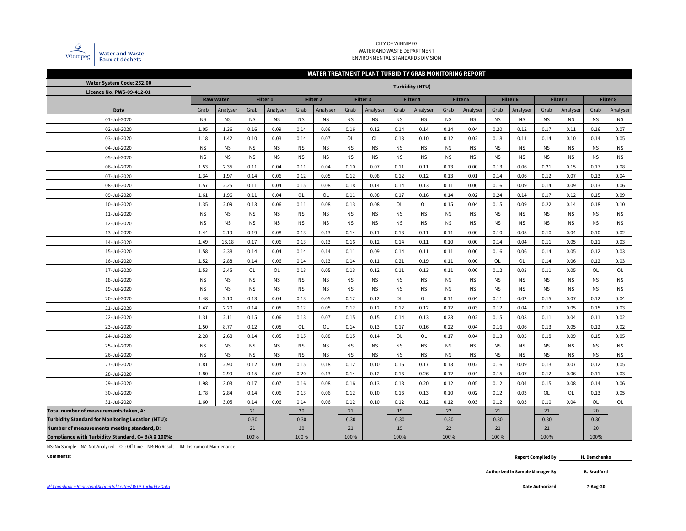

#### CITY OF WINNIPEG WATER AND WASTE DEPARTMENT ENVIRONMENTAL STANDARDS DIVISION

|                                                          | WATER TREATMENT PLANT TURBIDITY GRAB MONITORING REPORT |                  |           |           |           |           |           |           |           |                        |           |           |           |           |                 |           |                 |           |  |
|----------------------------------------------------------|--------------------------------------------------------|------------------|-----------|-----------|-----------|-----------|-----------|-----------|-----------|------------------------|-----------|-----------|-----------|-----------|-----------------|-----------|-----------------|-----------|--|
| Water System Code: 252.00                                |                                                        |                  |           |           |           |           |           |           |           | <b>Turbidity (NTU)</b> |           |           |           |           |                 |           |                 |           |  |
| Licence No. PWS-09-412-01                                |                                                        |                  |           |           |           |           |           |           |           |                        |           |           |           |           |                 |           |                 |           |  |
|                                                          |                                                        | <b>Raw Water</b> | Filter 1  |           |           | Filter 2  | Filter 3  |           | Filter 4  |                        | Filter 5  |           |           | Filter 6  | <b>Filter 7</b> |           | <b>Filter 8</b> |           |  |
| Date                                                     | Grab                                                   | Analyser         | Grab      | Analyser  | Grab      | Analyser  | Grab      | Analyser  | Grab      | Analyser               | Grab      | Analyser  | Grab      | Analyser  | Grab            | Analyser  | Grab            | Analyser  |  |
| 01-Jul-2020                                              | <b>NS</b>                                              | <b>NS</b>        | <b>NS</b> | <b>NS</b> | <b>NS</b> | <b>NS</b> | <b>NS</b> | <b>NS</b> | <b>NS</b> | <b>NS</b>              | <b>NS</b> | <b>NS</b> | <b>NS</b> | <b>NS</b> | <b>NS</b>       | <b>NS</b> | <b>NS</b>       | <b>NS</b> |  |
| 02-Jul-2020                                              | 1.05                                                   | 1.36             | 0.16      | 0.09      | 0.14      | 0.06      | 0.16      | 0.12      | 0.14      | 0.14                   | 0.14      | 0.04      | 0.20      | 0.12      | 0.17            | 0.11      | 0.16            | 0.07      |  |
| 03-Jul-2020                                              | 1.18                                                   | 1.42             | 0.10      | 0.03      | 0.14      | 0.07      | OL        | OL        | 0.13      | 0.10                   | 0.12      | 0.02      | 0.18      | 0.11      | 0.14            | 0.10      | 0.14            | 0.05      |  |
| 04-Jul-2020                                              | <b>NS</b>                                              | <b>NS</b>        | <b>NS</b> | <b>NS</b> | <b>NS</b> | <b>NS</b> | <b>NS</b> | <b>NS</b> | <b>NS</b> | <b>NS</b>              | <b>NS</b> | <b>NS</b> | <b>NS</b> | <b>NS</b> | <b>NS</b>       | <b>NS</b> | <b>NS</b>       | <b>NS</b> |  |
| 05-Jul-2020                                              | <b>NS</b>                                              | <b>NS</b>        | <b>NS</b> | <b>NS</b> | <b>NS</b> | <b>NS</b> | <b>NS</b> | <b>NS</b> | <b>NS</b> | <b>NS</b>              | <b>NS</b> | <b>NS</b> | <b>NS</b> | <b>NS</b> | <b>NS</b>       | <b>NS</b> | <b>NS</b>       | <b>NS</b> |  |
| 06-Jul-2020                                              | 1.53                                                   | 2.35             | 0.11      | 0.04      | 0.11      | 0.04      | 0.10      | 0.07      | 0.11      | 0.11                   | 0.13      | 0.00      | 0.13      | 0.06      | 0.21            | 0.15      | 0.17            | 0.08      |  |
| 07-Jul-2020                                              | 1.34                                                   | 1.97             | 0.14      | 0.06      | 0.12      | 0.05      | 0.12      | 0.08      | 0.12      | 0.12                   | 0.13      | 0.01      | 0.14      | 0.06      | 0.12            | 0.07      | 0.13            | 0.04      |  |
| 08-Jul-2020                                              | 1.57                                                   | 2.25             | 0.11      | 0.04      | 0.15      | 0.08      | 0.18      | 0.14      | 0.14      | 0.13                   | 0.11      | 0.00      | 0.16      | 0.09      | 0.14            | 0.09      | 0.13            | 0.06      |  |
| 09-Jul-2020                                              | 1.61                                                   | 1.96             | 0.11      | 0.04      | OL        | <b>OL</b> | 0.11      | 0.08      | 0.17      | 0.16                   | 0.14      | 0.02      | 0.24      | 0.14      | 0.17            | 0.12      | 0.15            | 0.09      |  |
| 10-Jul-2020                                              | 1.35                                                   | 2.09             | 0.13      | 0.06      | 0.11      | 0.08      | 0.13      | 0.08      | <b>OL</b> | OL                     | 0.15      | 0.04      | 0.15      | 0.09      | 0.22            | 0.14      | 0.18            | 0.10      |  |
| 11-Jul-2020                                              | <b>NS</b>                                              | <b>NS</b>        | <b>NS</b> | <b>NS</b> | <b>NS</b> | <b>NS</b> | <b>NS</b> | <b>NS</b> | <b>NS</b> | <b>NS</b>              | <b>NS</b> | <b>NS</b> | <b>NS</b> | <b>NS</b> | <b>NS</b>       | <b>NS</b> | <b>NS</b>       | ΝS        |  |
| 12-Jul-2020                                              | <b>NS</b>                                              | <b>NS</b>        | <b>NS</b> | <b>NS</b> | <b>NS</b> | <b>NS</b> | <b>NS</b> | <b>NS</b> | <b>NS</b> | <b>NS</b>              | <b>NS</b> | <b>NS</b> | <b>NS</b> | <b>NS</b> | <b>NS</b>       | <b>NS</b> | <b>NS</b>       | <b>NS</b> |  |
| 13-Jul-2020                                              | 1.44                                                   | 2.19             | 0.19      | 0.08      | 0.13      | 0.13      | 0.14      | 0.11      | 0.13      | 0.11                   | 0.11      | 0.00      | 0.10      | 0.05      | 0.10            | 0.04      | 0.10            | 0.02      |  |
| 14-Jul-2020                                              | 1.49                                                   | 16.18            | 0.17      | 0.06      | 0.13      | 0.13      | 0.16      | 0.12      | 0.14      | 0.11                   | 0.10      | 0.00      | 0.14      | 0.04      | 0.11            | 0.05      | 0.11            | 0.03      |  |
| 15-Jul-2020                                              | 1.58                                                   | 2.38             | 0.14      | 0.04      | 0.14      | 0.14      | 0.11      | 0.09      | 0.14      | 0.11                   | 0.11      | 0.00      | 0.16      | 0.06      | 0.14            | 0.05      | 0.12            | 0.03      |  |
| 16-Jul-2020                                              | 1.52                                                   | 2.88             | 0.14      | 0.06      | 0.14      | 0.13      | 0.14      | 0.11      | 0.21      | 0.19                   | 0.11      | 0.00      | OL        | OL        | 0.14            | 0.06      | 0.12            | 0.03      |  |
| 17-Jul-2020                                              | 1.53                                                   | 2.45             | OL        | OL        | 0.13      | 0.05      | 0.13      | 0.12      | 0.11      | 0.13                   | 0.11      | 0.00      | 0.12      | 0.03      | 0.11            | 0.05      | OL              | OL        |  |
| 18-Jul-2020                                              | <b>NS</b>                                              | <b>NS</b>        | <b>NS</b> | <b>NS</b> | <b>NS</b> | <b>NS</b> | <b>NS</b> | <b>NS</b> | <b>NS</b> | <b>NS</b>              | <b>NS</b> | <b>NS</b> | <b>NS</b> | <b>NS</b> | <b>NS</b>       | <b>NS</b> | <b>NS</b>       | <b>NS</b> |  |
| 19-Jul-2020                                              | <b>NS</b>                                              | <b>NS</b>        | <b>NS</b> | <b>NS</b> | <b>NS</b> | <b>NS</b> | <b>NS</b> | <b>NS</b> | <b>NS</b> | <b>NS</b>              | <b>NS</b> | <b>NS</b> | <b>NS</b> | <b>NS</b> | <b>NS</b>       | <b>NS</b> | <b>NS</b>       | <b>NS</b> |  |
| 20-Jul-2020                                              | 1.48                                                   | 2.10             | 0.13      | 0.04      | 0.13      | 0.05      | 0.12      | 0.12      | OL        | <b>OL</b>              | 0.11      | 0.04      | 0.11      | 0.02      | 0.15            | 0.07      | 0.12            | 0.04      |  |
| 21-Jul-2020                                              | 1.47                                                   | 2.20             | 0.14      | 0.05      | 0.12      | 0.05      | 0.12      | 0.12      | 0.12      | 0.12                   | 0.12      | 0.03      | 0.12      | 0.04      | 0.12            | 0.05      | 0.15            | 0.03      |  |
| 22-Jul-2020                                              | 1.31                                                   | 2.11             | 0.15      | 0.06      | 0.13      | 0.07      | 0.15      | 0.15      | 0.14      | 0.13                   | 0.23      | 0.02      | 0.15      | 0.03      | 0.11            | 0.04      | 0.11            | 0.02      |  |
| 23-Jul-2020                                              | 1.50                                                   | 8.77             | 0.12      | 0.05      | OL        | <b>OL</b> | 0.14      | 0.13      | 0.17      | 0.16                   | 0.22      | 0.04      | 0.16      | 0.06      | 0.13            | 0.05      | 0.12            | 0.02      |  |
| 24-Jul-2020                                              | 2.28                                                   | 2.68             | 0.14      | 0.05      | 0.15      | 0.08      | 0.15      | 0.14      | OL        | OL                     | 0.17      | 0.04      | 0.13      | 0.03      | 0.18            | 0.09      | 0.15            | 0.05      |  |
| 25-Jul-2020                                              | <b>NS</b>                                              | <b>NS</b>        | <b>NS</b> | <b>NS</b> | <b>NS</b> | <b>NS</b> | <b>NS</b> | <b>NS</b> | <b>NS</b> | <b>NS</b>              | <b>NS</b> | <b>NS</b> | <b>NS</b> | <b>NS</b> | <b>NS</b>       | <b>NS</b> | <b>NS</b>       | <b>NS</b> |  |
| 26-Jul-2020                                              | <b>NS</b>                                              | <b>NS</b>        | <b>NS</b> | <b>NS</b> | <b>NS</b> | <b>NS</b> | <b>NS</b> | <b>NS</b> | <b>NS</b> | <b>NS</b>              | <b>NS</b> | <b>NS</b> | <b>NS</b> | <b>NS</b> | <b>NS</b>       | <b>NS</b> | <b>NS</b>       | ΝS        |  |
| 27-Jul-2020                                              | 1.81                                                   | 2.90             | 0.12      | 0.04      | 0.15      | 0.18      | 0.12      | 0.10      | 0.16      | 0.17                   | 0.13      | 0.02      | 0.16      | 0.09      | 0.13            | 0.07      | 0.12            | 0.05      |  |
| 28-Jul-2020                                              | 1.80                                                   | 2.99             | 0.15      | 0.07      | 0.20      | 0.13      | 0.14      | 0.12      | 0.16      | 0.26                   | 0.12      | 0.04      | 0.15      | 0.07      | 0.12            | 0.06      | 0.11            | 0.03      |  |
| 29-Jul-2020                                              | 1.98                                                   | 3.03             | 0.17      | 0.07      | 0.16      | 0.08      | 0.16      | 0.13      | 0.18      | 0.20                   | 0.12      | 0.05      | 0.12      | 0.04      | 0.15            | 0.08      | 0.14            | 0.06      |  |
| 30-Jul-2020                                              | 1.78                                                   | 2.84             | 0.14      | 0.06      | 0.13      | 0.06      | 0.12      | 0.10      | 0.16      | 0.13                   | 0.10      | 0.02      | 0.12      | 0.03      | OL              | OL        | 0.13            | 0.05      |  |
| 31-Jul-2020                                              | 1.60                                                   | 3.05             | 0.14      | 0.06      | 0.14      | 0.06      | 0.12      | 0.10      | 0.12      | 0.12                   | 0.12      | 0.03      | 0.12      | 0.03      | 0.10            | 0.04      | OL              | OL        |  |
| Total number of measurements taken, A:                   |                                                        |                  | 21        |           | 20        |           | 21        |           | 19        |                        | 22        |           | 21        |           | 21              |           | 20              |           |  |
| <b>Turbidity Standard for Monitoring Location (NTU):</b> |                                                        |                  | 0.30      |           | 0.30      |           | 0.30      |           | 0.30      |                        | 0.30      |           | 0.30      |           | 0.30            |           | 0.30            |           |  |
| Number of measurements meeting standard, B:              |                                                        |                  | 21        |           | 20        |           | 21        |           | 19        |                        | 22        |           | 21        |           | 21              |           | 20              |           |  |
| Compliance with Turbidity Standard, C= B/A X 100%:       |                                                        |                  | 100%      |           | 100%      |           | 100%      |           | 100%      |                        | 100%      |           | 100%      |           | 100%            |           | 100%            |           |  |

NS: No Sample NA: Not Analyzed OL: Off-Line NR: No Result IM: Instrument Maintenance

**Comments: Report Compiled By: H. Demchenko**

> **Authorized in Sample Manager By: B. Bradford**

**7-Aug-20**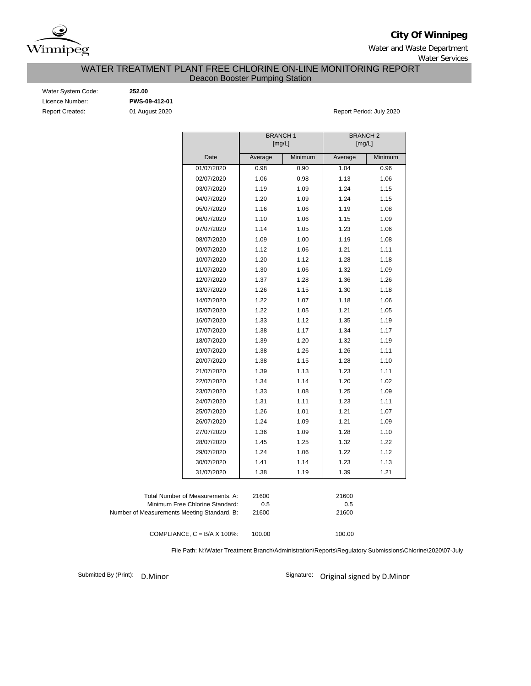

**City Of Winnipeg**

Water and Waste Department Water Services

## WATER TREATMENT PLANT FREE CHLORINE ON-LINE MONITORING REPORT Deacon Booster Pumping Station

Water System Code: **252.00** Licence Number: **PWS-09-412-01**

Report Created: **01 August 2020 Report Period: July 2020** Report Period: July 2020

|                                             | <b>BRANCH1</b><br>[mg/L] |         | <b>BRANCH2</b><br>[mg/L] |         |
|---------------------------------------------|--------------------------|---------|--------------------------|---------|
| Date                                        | Average                  | Minimum | Average                  | Minimum |
| 01/07/2020                                  | 0.98                     | 0.90    | 1.04                     | 0.96    |
| 02/07/2020                                  | 1.06                     | 0.98    | 1.13                     | 1.06    |
| 03/07/2020                                  | 1.19                     | 1.09    | 1.24                     | 1.15    |
| 04/07/2020                                  | 1.20                     | 1.09    | 1.24                     | 1.15    |
| 05/07/2020                                  | 1.16                     | 1.06    | 1.19                     | 1.08    |
| 06/07/2020                                  | 1.10                     | 1.06    | 1.15                     | 1.09    |
| 07/07/2020                                  | 1.14                     | 1.05    | 1.23                     | 1.06    |
| 08/07/2020                                  | 1.09                     | 1.00    | 1.19                     | 1.08    |
| 09/07/2020                                  | 1.12                     | 1.06    | 1.21                     | 1.11    |
| 10/07/2020                                  | 1.20                     | 1.12    | 1.28                     | 1.18    |
| 11/07/2020                                  | 1.30                     | 1.06    | 1.32                     | 1.09    |
| 12/07/2020                                  | 1.37                     | 1.28    | 1.36                     | 1.26    |
| 13/07/2020                                  | 1.26                     | 1.15    | 1.30                     | 1.18    |
| 14/07/2020                                  | 1.22                     | 1.07    | 1.18                     | 1.06    |
| 15/07/2020                                  | 1.22                     | 1.05    | 1.21                     | 1.05    |
| 16/07/2020                                  | 1.33                     | 1.12    | 1.35                     | 1.19    |
| 17/07/2020                                  | 1.38                     | 1.17    | 1.34                     | 1.17    |
| 18/07/2020                                  | 1.39                     | 1.20    | 1.32                     | 1.19    |
| 19/07/2020                                  | 1.38                     | 1.26    | 1.26                     | 1.11    |
| 20/07/2020                                  | 1.38                     | 1.15    | 1.28                     | 1.10    |
| 21/07/2020                                  | 1.39                     | 1.13    | 1.23                     | 1.11    |
| 22/07/2020                                  | 1.34                     | 1.14    | 1.20                     | 1.02    |
| 23/07/2020                                  | 1.33                     | 1.08    | 1.25                     | 1.09    |
| 24/07/2020                                  | 1.31                     | 1.11    | 1.23                     | 1.11    |
| 25/07/2020                                  | 1.26                     | 1.01    | 1.21                     | 1.07    |
| 26/07/2020                                  | 1.24                     | 1.09    | 1.21                     | 1.09    |
| 27/07/2020                                  | 1.36                     | 1.09    | 1.28                     | 1.10    |
| 28/07/2020                                  | 1.45                     | 1.25    | 1.32                     | 1.22    |
| 29/07/2020                                  | 1.24                     | 1.06    | 1.22                     | 1.12    |
| 30/07/2020                                  | 1.41                     | 1.14    | 1.23                     | 1.13    |
| 31/07/2020                                  | 1.38                     | 1.19    | 1.39                     | 1.21    |
|                                             |                          |         |                          |         |
| Total Number of Measurements, A:            | 21600                    |         | 21600                    |         |
| Minimum Free Chlorine Standard:             | 0.5                      |         | 0.5                      |         |
| Number of Measurements Meeting Standard, B: | 21600                    |         | 21600                    |         |
| COMPLIANCE, $C = B/A \times 100\%$ :        | 100.00                   |         | 100.00                   |         |

File Path: N:\Water Treatment Branch\Administration\Reports\Regulatory Submissions\Chlorine\2020\07-July

Submitted By (Print):

D.Minor Signature: Original signed by D.Minor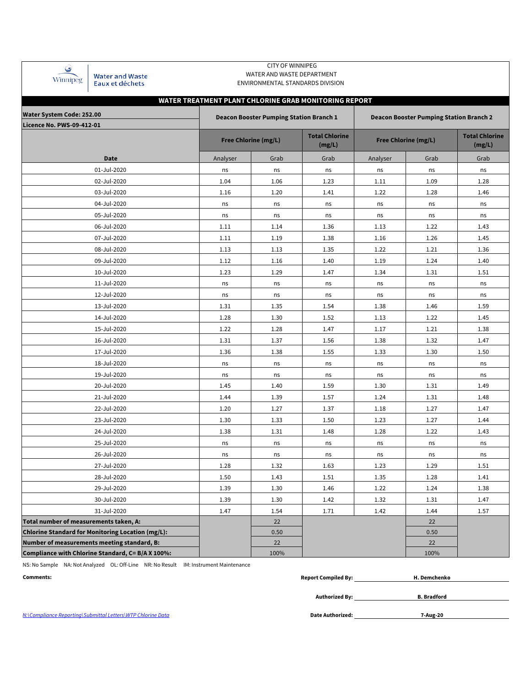| Winnipeg |
|----------|

Water and Waste<br>Eaux et déchets

#### CITY OF WINNIPEG WATER AND WASTE DEPARTMENT ENVIRONMENTAL STANDARDS DIVISION

# **WATER TREATMENT PLANT CHLORINE GRAB MONITORING REPORT**

| Water System Code: 252.00                                |          | <b>Deacon Booster Pumping Station Branch 1</b> |                                 | <b>Deacon Booster Pumping Station Branch 2</b> |                                 |          |  |  |  |  |  |
|----------------------------------------------------------|----------|------------------------------------------------|---------------------------------|------------------------------------------------|---------------------------------|----------|--|--|--|--|--|
| <b>Licence No. PWS-09-412-01</b>                         |          |                                                |                                 |                                                |                                 |          |  |  |  |  |  |
|                                                          |          | Free Chlorine (mg/L)                           | <b>Total Chlorine</b><br>(mg/L) | Free Chlorine (mg/L)                           | <b>Total Chlorine</b><br>(mg/L) |          |  |  |  |  |  |
| Date                                                     | Analyser | Grab                                           | Grab                            | Analyser                                       | Grab                            | Grab     |  |  |  |  |  |
| 01-Jul-2020                                              | ns       | ns                                             | ns                              | ns                                             | ns                              | ns       |  |  |  |  |  |
| 02-Jul-2020                                              | 1.04     | 1.06                                           | 1.23                            | 1.11                                           | 1.09                            | 1.28     |  |  |  |  |  |
| 03-Jul-2020                                              | 1.16     | 1.20                                           | 1.41                            | 1.22                                           | 1.28                            | 1.46     |  |  |  |  |  |
| 04-Jul-2020                                              | ns       | ns                                             | ns                              | ns                                             | ns                              | ns       |  |  |  |  |  |
| 05-Jul-2020                                              | ns       | ns                                             | ns                              | ns                                             | ns                              | ns       |  |  |  |  |  |
| 06-Jul-2020                                              | 1.11     | 1.14                                           | 1.36                            | 1.13                                           | 1.22                            | 1.43     |  |  |  |  |  |
| 07-Jul-2020                                              | 1.11     | 1.19                                           | 1.38                            | 1.16                                           | 1.26                            | 1.45     |  |  |  |  |  |
| 08-Jul-2020                                              | 1.13     | 1.13                                           | 1.35                            | 1.22                                           | 1.21                            | 1.36     |  |  |  |  |  |
| 09-Jul-2020                                              | 1.12     | 1.16                                           | 1.40                            | 1.19                                           | 1.24                            | 1.40     |  |  |  |  |  |
| 10-Jul-2020                                              | 1.23     | 1.29                                           | 1.47                            | 1.34                                           | 1.31                            | 1.51     |  |  |  |  |  |
| 11-Jul-2020                                              | ns       | ns                                             | ns                              | ns                                             | ns                              | ns       |  |  |  |  |  |
| 12-Jul-2020                                              | ns       | ns                                             | ns                              | ns                                             | ns                              | ns       |  |  |  |  |  |
| 13-Jul-2020                                              | 1.31     | 1.35                                           | 1.54                            | 1.38                                           | 1.46                            | 1.59     |  |  |  |  |  |
| 14-Jul-2020                                              | 1.28     | 1.30                                           | 1.52                            | 1.13                                           | 1.22                            | 1.45     |  |  |  |  |  |
| 15-Jul-2020                                              | 1.22     | 1.28                                           | 1.47                            | 1.17                                           | 1.21                            | 1.38     |  |  |  |  |  |
| 16-Jul-2020                                              | 1.31     | 1.37                                           | 1.56                            | 1.38                                           | 1.32                            | $1.47\,$ |  |  |  |  |  |
| 17-Jul-2020                                              | 1.36     | 1.38                                           | 1.55                            | 1.33                                           | 1.30                            | 1.50     |  |  |  |  |  |
| 18-Jul-2020                                              | ns       | ns                                             | ns                              | ns                                             | ns                              | ns       |  |  |  |  |  |
| 19-Jul-2020                                              | ns       | ns                                             | ns                              | ns                                             | ns                              | ns       |  |  |  |  |  |
| 20-Jul-2020                                              | 1.45     | 1.40                                           | 1.59                            | 1.30                                           | 1.31                            | 1.49     |  |  |  |  |  |
| 21-Jul-2020                                              | 1.44     | 1.39                                           | 1.57                            | 1.24                                           | 1.31                            | 1.48     |  |  |  |  |  |
| 22-Jul-2020                                              | 1.20     | 1.27                                           | 1.37                            | 1.18                                           | 1.27                            | 1.47     |  |  |  |  |  |
| 23-Jul-2020                                              | 1.30     | 1.33                                           | 1.50                            | 1.23                                           | 1.27                            | 1.44     |  |  |  |  |  |
| 24-Jul-2020                                              | 1.38     | 1.31                                           | 1.48                            | 1.28                                           | 1.22                            | 1.43     |  |  |  |  |  |
| 25-Jul-2020                                              | ns       | ns                                             | ns                              | ns                                             | ns                              | ns       |  |  |  |  |  |
| 26-Jul-2020                                              | ns       | ns                                             | ns                              | ns                                             | ns                              | ns       |  |  |  |  |  |
| 27-Jul-2020                                              | 1.28     | 1.32                                           | 1.63                            | 1.23                                           | 1.29                            | 1.51     |  |  |  |  |  |
| 28-Jul-2020                                              | 1.50     | 1.43                                           | 1.51                            | 1.35                                           | 1.28                            | 1.41     |  |  |  |  |  |
| 29-Jul-2020                                              | 1.39     | 1.30                                           | 1.46                            | 1.22                                           | 1.24                            | 1.38     |  |  |  |  |  |
| 30-Jul-2020                                              | 1.39     | 1.30                                           | 1.42                            | 1.32                                           | 1.31                            | 1.47     |  |  |  |  |  |
| 31-Jul-2020                                              | 1.47     | 1.54                                           | 1.71                            | 1.42                                           | 1.44                            | 1.57     |  |  |  |  |  |
| Total number of measurements taken, A:                   |          | 22                                             |                                 |                                                | 22                              |          |  |  |  |  |  |
| <b>Chlorine Standard for Monitoring Location (mg/L):</b> |          | 0.50                                           |                                 |                                                | 0.50                            |          |  |  |  |  |  |
| Number of measurements meeting standard, B:              |          | 22                                             |                                 |                                                | 22                              |          |  |  |  |  |  |
| Compliance with Chlorine Standard, C= B/A X 100%:        |          | 100%                                           |                                 |                                                | 100%                            |          |  |  |  |  |  |

NS: No Sample NA: Not Analyzed OL: Off-Line NR: No Result IM: Instrument Maintenance

| Comments: | <b>Report Compiled By:</b><br>. | Demchenko |
|-----------|---------------------------------|-----------|
|           |                                 |           |

*N:\Compliance Reporting\Submittal Letters\WTP Chlorine Data* **Date Authorized:**

**Authorized By:**

**7-Aug-20**

**B. Bradford**